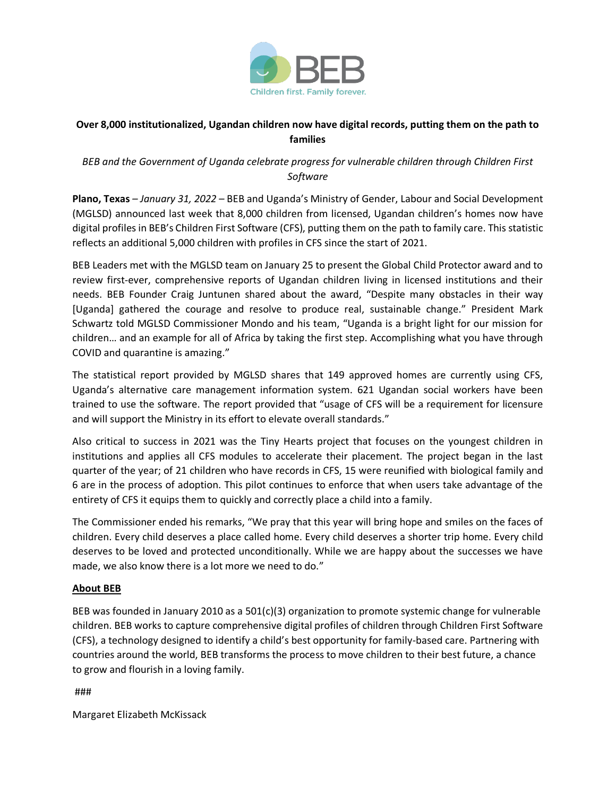

## **Over 8,000 institutionalized, Ugandan children now have digital records, putting them on the path to families**

## *BEB and the Government of Uganda celebrate progress for vulnerable children through Children First Software*

**Plano, Texas** *– January 31, 2022 –* BEB and Uganda's Ministry of Gender, Labour and Social Development (MGLSD) announced last week that 8,000 children from licensed, Ugandan children's homes now have digital profiles in BEB's Children First Software (CFS), putting them on the path to family care. This statistic reflects an additional 5,000 children with profiles in CFS since the start of 2021.

BEB Leaders met with the MGLSD team on January 25 to present the Global Child Protector award and to review first-ever, comprehensive reports of Ugandan children living in licensed institutions and their needs. BEB Founder Craig Juntunen shared about the award, "Despite many obstacles in their way [Uganda] gathered the courage and resolve to produce real, sustainable change." President Mark Schwartz told MGLSD Commissioner Mondo and his team, "Uganda is a bright light for our mission for children… and an example for all of Africa by taking the first step. Accomplishing what you have through COVID and quarantine is amazing."

The statistical report provided by MGLSD shares that 149 approved homes are currently using CFS, Uganda's alternative care management information system. 621 Ugandan social workers have been trained to use the software. The report provided that "usage of CFS will be a requirement for licensure and will support the Ministry in its effort to elevate overall standards."

Also critical to success in 2021 was the Tiny Hearts project that focuses on the youngest children in institutions and applies all CFS modules to accelerate their placement. The project began in the last quarter of the year; of 21 children who have records in CFS, 15 were reunified with biological family and 6 are in the process of adoption. This pilot continues to enforce that when users take advantage of the entirety of CFS it equips them to quickly and correctly place a child into a family.

The Commissioner ended his remarks, "We pray that this year will bring hope and smiles on the faces of children. Every child deserves a place called home. Every child deserves a shorter trip home. Every child deserves to be loved and protected unconditionally. While we are happy about the successes we have made, we also know there is a lot more we need to do."

## **About BEB**

BEB was founded in January 2010 as a  $501(c)(3)$  organization to promote systemic change for vulnerable children. BEB works to capture comprehensive digital profiles of children through Children First Software (CFS), a technology designed to identify a child's best opportunity for family-based care. Partnering with countries around the world, BEB transforms the process to move children to their best future, a chance to grow and flourish in a loving family.

## ###

Margaret Elizabeth McKissack